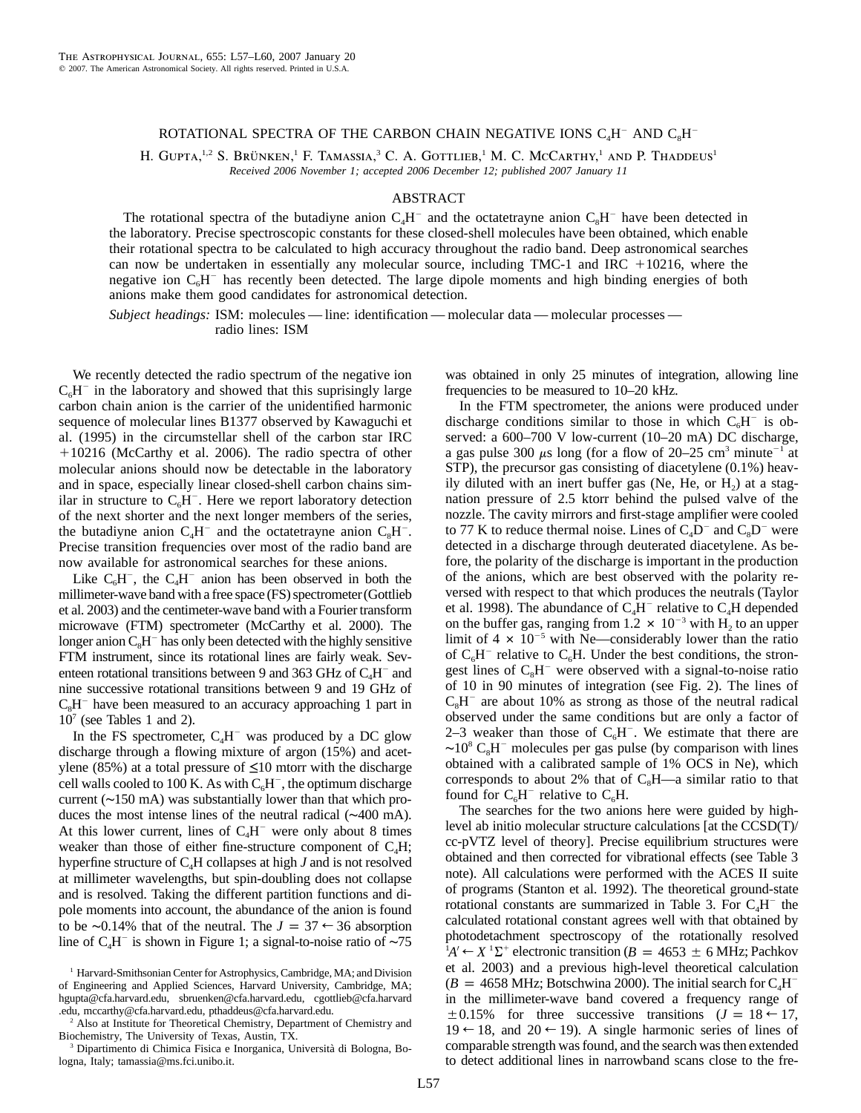## ROTATIONAL SPECTRA OF THE CARBON CHAIN NEGATIVE IONS  $C<sub>a</sub>H<sup>-</sup>$  and  $C<sub>s</sub>H<sup>-</sup>$

H. GUPTA,<sup>1,2</sup> S. Brünken,<sup>1</sup> F. Tamassia,<sup>3</sup> C. A. GOTTLIEB,<sup>1</sup> M. C. McCarthy,<sup>1</sup> and P. Thaddeus<sup>1</sup> *Received 2006 November 1; accepted 2006 December 12; published 2007 January 11*

## ABSTRACT

The rotational spectra of the butadiyne anion  $C<sub>a</sub>H<sup>-</sup>$  and the octatetrayne anion  $C<sub>e</sub>H<sup>-</sup>$  have been detected in the laboratory. Precise spectroscopic constants for these closed-shell molecules have been obtained, which enable their rotational spectra to be calculated to high accuracy throughout the radio band. Deep astronomical searches can now be undertaken in essentially any molecular source, including  $TMC-1$  and  $IRC + 10216$ , where the negative ion  $C<sub>6</sub>H<sup>-</sup>$  has recently been detected. The large dipole moments and high binding energies of both anions make them good candidates for astronomical detection.

*Subject headings:* ISM: molecules — line: identification — molecular data — molecular processes radio lines: ISM

We recently detected the radio spectrum of the negative ion  $C_6H^-$  in the laboratory and showed that this suprisingly large carbon chain anion is the carrier of the unidentified harmonic sequence of molecular lines B1377 observed by Kawaguchi et al. (1995) in the circumstellar shell of the carbon star IRC -10216 (McCarthy et al. 2006). The radio spectra of other molecular anions should now be detectable in the laboratory and in space, especially linear closed-shell carbon chains similar in structure to  $C_6H^-$ . Here we report laboratory detection of the next shorter and the next longer members of the series, the butadiyne anion  $C_4H^-$  and the octatetrayne anion  $C_8H^-$ . Precise transition frequencies over most of the radio band are now available for astronomical searches for these anions.

Like  $C_6H^-$ , the  $C_4H^-$  anion has been observed in both the millimeter-wave band with a free space (FS) spectrometer(Gottlieb et al. 2003) and the centimeter-wave band with a Fourier transform microwave (FTM) spectrometer (McCarthy et al. 2000). The longer anion  $C_8H^-$  has only been detected with the highly sensitive FTM instrument, since its rotational lines are fairly weak. Seventeen rotational transitions between 9 and 363 GHz of  $C_4H^-$  and nine successive rotational transitions between 9 and 19 GHz of  $C<sub>s</sub>H<sup>-</sup>$  have been measured to an accuracy approaching 1 part in  $10<sup>7</sup>$  (see Tables 1 and 2).

In the FS spectrometer,  $C_4H^-$  was produced by a DC glow discharge through a flowing mixture of argon (15%) and acetylene (85%) at a total pressure of  $\leq 10$  mtorr with the discharge cell walls cooled to 100 K. As with  $C_6H^-$ , the optimum discharge current (∼150 mA) was substantially lower than that which produces the most intense lines of the neutral radical (∼400 mA). At this lower current, lines of  $C_4H^-$  were only about 8 times weaker than those of either fine-structure component of  $C_4H$ ; hyperfine structure of C4H collapses at high *J* and is not resolved at millimeter wavelengths, but spin-doubling does not collapse and is resolved. Taking the different partition functions and dipole moments into account, the abundance of the anion is found to be ∼0.14% that of the neutral. The  $J = 37 \leftarrow 36$  absorption line of  $C_4H^-$  is shown in Figure 1; a signal-to-noise ratio of ~75

was obtained in only 25 minutes of integration, allowing line frequencies to be measured to 10–20 kHz.

In the FTM spectrometer, the anions were produced under discharge conditions similar to those in which  $C<sub>6</sub>H<sup>-</sup>$  is observed: a 600–700 V low-current (10–20 mA) DC discharge, a gas pulse 300  $\mu$ s long (for a flow of 20–25 cm<sup>3</sup> minute<sup>-1</sup> at STP), the precursor gas consisting of diacetylene (0.1%) heavily diluted with an inert buffer gas (Ne, He, or  $H<sub>2</sub>$ ) at a stagnation pressure of 2.5 ktorr behind the pulsed valve of the nozzle. The cavity mirrors and first-stage amplifier were cooled to 77 K to reduce thermal noise. Lines of  $C_4D^-$  and  $C_8D^-$  were detected in a discharge through deuterated diacetylene. As before, the polarity of the discharge is important in the production of the anions, which are best observed with the polarity reversed with respect to that which produces the neutrals (Taylor et al. 1998). The abundance of  $C_4H^-$  relative to  $C_4H$  depended on the buffer gas, ranging from 1.2  $\times$  10<sup>-3</sup> with H<sub>2</sub> to an upper limit of 4  $\times$  10<sup>-5</sup> with Ne—considerably lower than the ratio of  $C_6H^-$  relative to  $C_6H$ . Under the best conditions, the strongest lines of  $C_8H^-$  were observed with a signal-to-noise ratio of 10 in 90 minutes of integration (see Fig. 2). The lines of  $C_8H^-$  are about 10% as strong as those of the neutral radical observed under the same conditions but are only a factor of 2–3 weaker than those of  $C_6H^-$ . We estimate that there are  $~\sim$ 10<sup>8</sup> C<sub>8</sub>H<sup>-</sup> molecules per gas pulse (by comparison with lines obtained with a calibrated sample of 1% OCS in Ne), which corresponds to about 2% that of  $C_8H$ —a similar ratio to that found for  $C_6H^-$  relative to  $C_6H$ .

The searches for the two anions here were guided by highlevel ab initio molecular structure calculations [at the CCSD(T)/ cc-pVTZ level of theory]. Precise equilibrium structures were obtained and then corrected for vibrational effects (see Table 3 note). All calculations were performed with the ACES II suite of programs (Stanton et al. 1992). The theoretical ground-state rotational constants are summarized in Table 3. For  $C<sub>4</sub>H<sup>-</sup>$  the calculated rotational constant agrees well with that obtained by photodetachment spectroscopy of the rotationally resolved  ${}^{1}A' \leftarrow X \ {}^{1}\Sigma^{+}$  electronic transition ( $B = 4653 \pm 6$  MHz; Pachkov et al. 2003) and a previous high-level theoretical calculation  $(B = 4658 \text{ MHz}$ ; Botschwina 2000). The initial search for  $C<sub>4</sub>H$ in the millimeter-wave band covered a frequency range of  $\pm 0.15\%$  for three successive transitions  $(J = 18 \leftarrow 17)$ ,  $19 \leftarrow 18$ , and  $20 \leftarrow 19$ ). A single harmonic series of lines of comparable strength was found, and the search was then extended to detect additional lines in narrowband scans close to the fre-

<sup>&</sup>lt;sup>1</sup> Harvard-Smithsonian Center for Astrophysics, Cambridge, MA; and Division of Engineering and Applied Sciences, Harvard University, Cambridge, MA; hgupta@cfa.harvard.edu, sbruenken@cfa.harvard.edu, cgottlieb@cfa.harvard .edu, mccarthy@cfa.harvard.edu, pthaddeus@cfa.harvard.edu.

<sup>&</sup>lt;sup>2</sup> Also at Institute for Theoretical Chemistry, Department of Chemistry and Biochemistry, The University of Texas, Austin, TX.

<sup>&</sup>lt;sup>3</sup> Dipartimento di Chimica Fisica e Inorganica, Università di Bologna, Bologna, Italy; tamassia@ms.fci.unibo.it.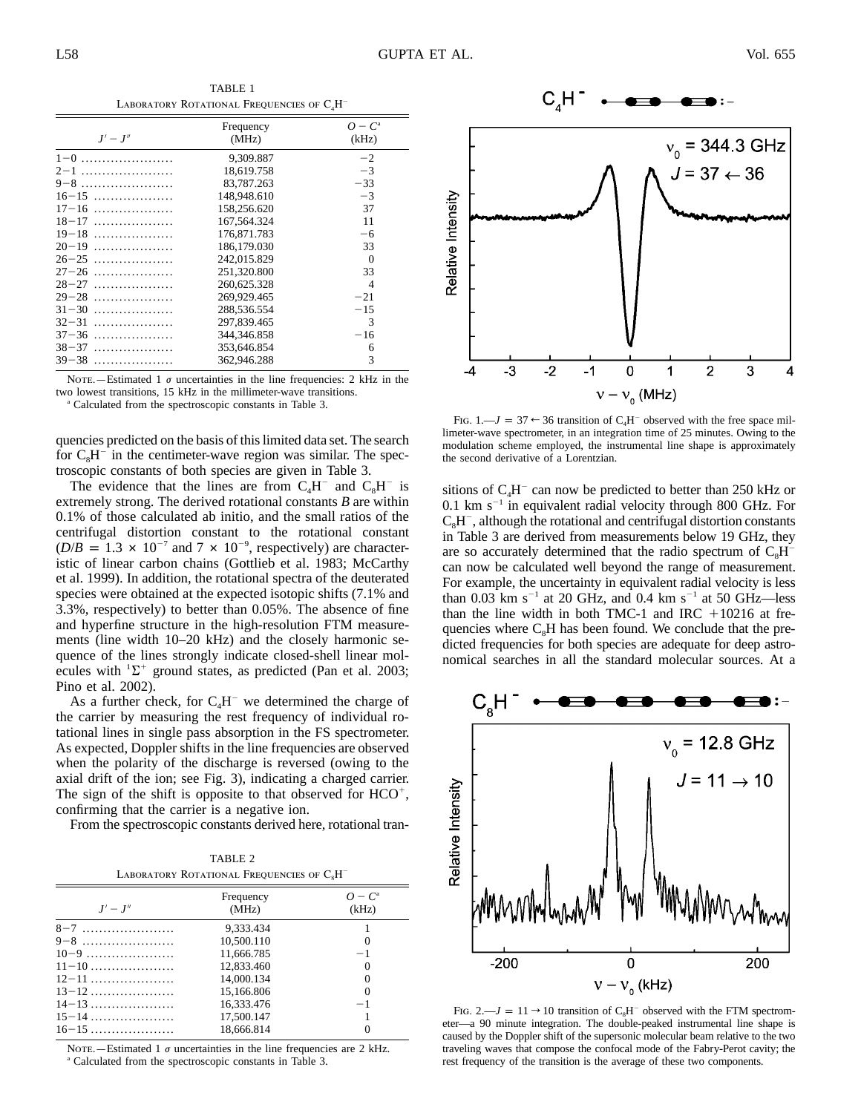TABLE 1 LABORATORY ROTATIONAL FREQUENCIES OF C.H<sup>-</sup>

| $J'-J''$  | Frequency<br>(MHz) | $O - C^{\rm a}$<br>(kHz) |
|-----------|--------------------|--------------------------|
| $1-0$     | 9.309.887          | $-2$                     |
| $2-1$     | 18.619.758         | $-3$                     |
| $9-8$     | 83,787,263         | $-33$                    |
| $16-15$   | 148,948.610        | $-3$                     |
| $17-16$   | 158,256.620        | 37                       |
| $18 - 17$ | 167.564.324        | 11                       |
| $19-18$   | 176,871.783        | -6                       |
| $20-19$   | 186,179,030        | 33                       |
| $26-25$   | 242,015.829        | $\Omega$                 |
| $27-26$   | 251.320.800        | 33                       |
| $28-27$   | 260,625,328        | $\overline{\mathcal{A}}$ |
| $29-28$   | 269,929.465        | $-21$                    |
| $31 - 30$ | 288,536,554        | $-15$                    |
| $32 - 31$ | 297,839.465        | 3                        |
| $37-36$   | 344, 346. 858      | $-16$                    |
| $38 - 37$ | 353,646.854        | 6                        |
| $39-38$   | 362,946.288        | 3                        |

NOTE.—Estimated 1  $\sigma$  uncertainties in the line frequencies: 2 kHz in the two lowest transitions, 15 kHz in the millimeter-wave transitions.

<sup>a</sup> Calculated from the spectroscopic constants in Table 3.

quencies predicted on the basis of this limited data set. The search for  $C_8H^-$  in the centimeter-wave region was similar. The spectroscopic constants of both species are given in Table 3.

The evidence that the lines are from  $C_4H^-$  and  $C_8H^-$  is extremely strong. The derived rotational constants *B* are within 0.1% of those calculated ab initio, and the small ratios of the centrifugal distortion constant to the rotational constant  $(D/B = 1.3 \times 10^{-7}$  and  $7 \times 10^{-9}$ , respectively) are characteristic of linear carbon chains (Gottlieb et al. 1983; McCarthy et al. 1999). In addition, the rotational spectra of the deuterated species were obtained at the expected isotopic shifts (7.1% and 3.3%, respectively) to better than 0.05%. The absence of fine and hyperfine structure in the high-resolution FTM measurements (line width 10–20 kHz) and the closely harmonic sequence of the lines strongly indicate closed-shell linear molecules with  ${}^{1}\Sigma^{+}$  ground states, as predicted (Pan et al. 2003; Pino et al. 2002).

As a further check, for  $C_4H^-$  we determined the charge of the carrier by measuring the rest frequency of individual rotational lines in single pass absorption in the FS spectrometer. As expected, Doppler shifts in the line frequencies are observed when the polarity of the discharge is reversed (owing to the axial drift of the ion; see Fig. 3), indicating a charged carrier. The sign of the shift is opposite to that observed for  $HCO<sup>+</sup>$ , confirming that the carrier is a negative ion.

From the spectroscopic constants derived here, rotational tran-

TABLE 2 LABORATORY ROTATIONAL FREQUENCIES OF C<sub>8</sub>H<sup>T</sup>

| $J'-J''$  | Frequency<br>(MHz) | $O - C^{\alpha}$<br>(kHz) |
|-----------|--------------------|---------------------------|
| $8-7$     | 9.333.434          |                           |
| $9-8$     | 10.500.110         |                           |
| $10-9$    | 11,666.785         | $-1$                      |
| $11-10$   | 12,833,460         | $\Omega$                  |
| $12-11$   | 14,000.134         | $\Omega$                  |
| $13-12$   | 15,166.806         | $\Omega$                  |
| $14-13$   | 16.333.476         | $-1$                      |
| $15 - 14$ | 17.500.147         |                           |
| $16-15$   | 18.666.814         |                           |
|           |                    |                           |

NOTE.—Estimated 1  $\sigma$  uncertainties in the line frequencies are 2 kHz.  $\degree$  Calculated from the spectroscopic constants in Table 3.



FIG.  $1 - J = 37 \leftarrow 36$  transition of C<sub>4</sub>H<sup>-</sup> observed with the free space millimeter-wave spectrometer, in an integration time of 25 minutes. Owing to the modulation scheme employed, the instrumental line shape is approximately the second derivative of a Lorentzian.

sitions of  $C_4H^-$  can now be predicted to better than 250 kHz or 0.1 km  $s^{-1}$  in equivalent radial velocity through 800 GHz. For  $C<sub>s</sub>H<sup>-</sup>$ , although the rotational and centrifugal distortion constants in Table 3 are derived from measurements below 19 GHz, they are so accurately determined that the radio spectrum of  $C<sub>s</sub>H$ can now be calculated well beyond the range of measurement. For example, the uncertainty in equivalent radial velocity is less than 0.03 km s<sup>-1</sup> at 20 GHz, and 0.4 km s<sup>-1</sup> at 50 GHz—less than the line width in both TMC-1 and IRC  $+10216$  at frequencies where  $C_8H$  has been found. We conclude that the predicted frequencies for both species are adequate for deep astronomical searches in all the standard molecular sources. At a



FIG. 2.— $J = 11 \rightarrow 10$  transition of C<sub>8</sub>H<sup>-</sup> observed with the FTM spectrometer—a 90 minute integration. The double-peaked instrumental line shape is caused by the Doppler shift of the supersonic molecular beam relative to the two traveling waves that compose the confocal mode of the Fabry-Perot cavity; the rest frequency of the transition is the average of these two components.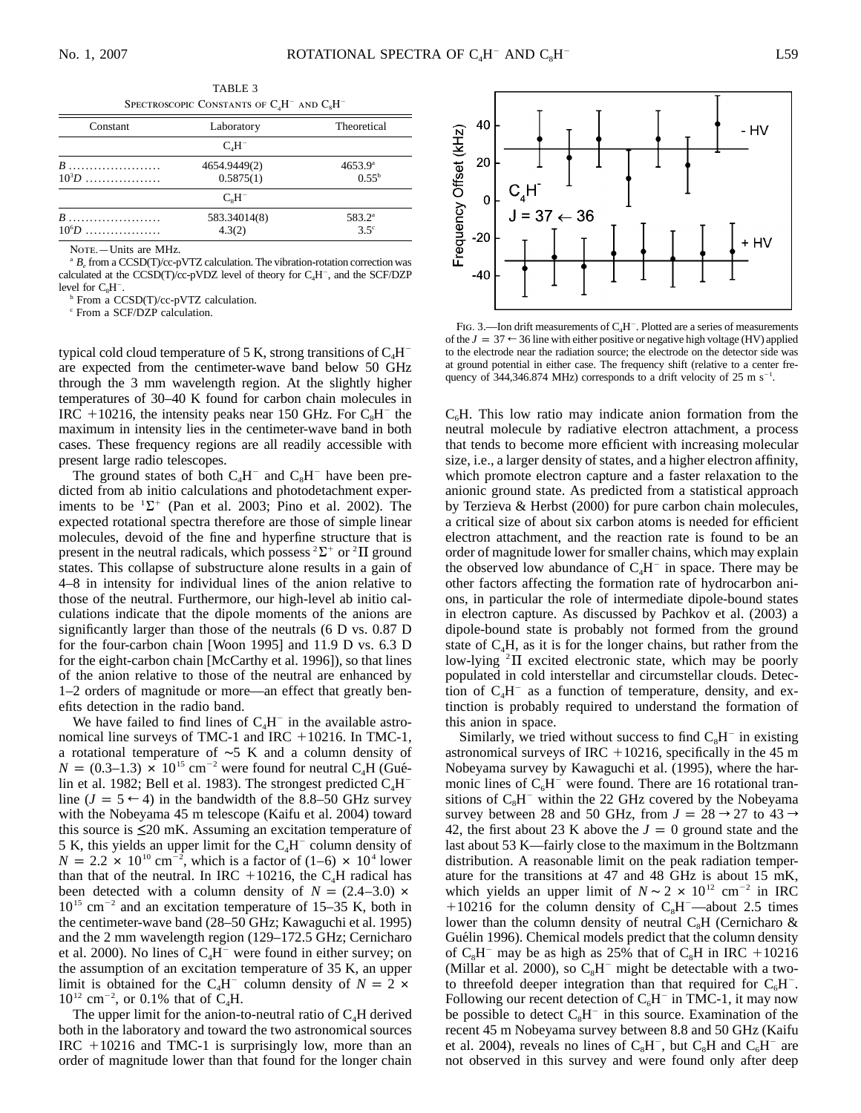| ۰.<br>۰.<br>٠<br>× |
|--------------------|
|--------------------|

| Constant         | Laboratory                | Theoretical                    |
|------------------|---------------------------|--------------------------------|
|                  | $CAH-$                    |                                |
| $B$<br>$10^{3}D$ | 4654.9449(2)<br>0.5875(1) | $4653.9^{\circ}$<br>$0.55^{b}$ |
|                  | $C_{\rm s}H^-$            |                                |
| $B$<br>$10^6D$   | 583.34014(8)<br>4.3(2)    | $583.2^{\circ}$<br>$3.5^\circ$ |

TABLE 3  $\Gamma$  Second Constants of CH<sup>-</sup> and CH<sup>-</sup>

NOTE.-Units are MHz.

<sup>a</sup>  $B<sub>e</sub>$  from a CCSD(T)/cc-pVTZ calculation. The vibration-rotation correction was calculated at the CCSD(T) $\overline{c}$ c-pVDZ level of theory for C<sub>4</sub>H<sup>-</sup>, and the SCF/DZP level for C<sub>4</sub>H<sup>-</sup>.

 $\frac{1}{2}$  From a CCSD(T)/cc-pVTZ calculation.

<sup>c</sup> From a SCF/DZP calculation.

typical cold cloud temperature of 5 K, strong transitions of  $C_4H^$ are expected from the centimeter-wave band below 50 GHz through the 3 mm wavelength region. At the slightly higher temperatures of 30–40 K found for carbon chain molecules in IRC  $+10216$ , the intensity peaks near 150 GHz. For  $C_8H^-$  the maximum in intensity lies in the centimeter-wave band in both cases. These frequency regions are all readily accessible with present large radio telescopes.

The ground states of both  $C_4H^-$  and  $C_8H^-$  have been predicted from ab initio calculations and photodetachment experiments to be  ${}^{1}\Sigma^{+}$  (Pan et al. 2003; Pino et al. 2002). The expected rotational spectra therefore are those of simple linear molecules, devoid of the fine and hyperfine structure that is present in the neutral radicals, which possess  ${}^{2}\Sigma^{+}$  or  ${}^{2}\Pi$  ground states. This collapse of substructure alone results in a gain of 4–8 in intensity for individual lines of the anion relative to those of the neutral. Furthermore, our high-level ab initio calculations indicate that the dipole moments of the anions are significantly larger than those of the neutrals (6 D vs. 0.87 D for the four-carbon chain [Woon 1995] and 11.9 D vs. 6.3 D for the eight-carbon chain [McCarthy et al. 1996]), so that lines of the anion relative to those of the neutral are enhanced by 1–2 orders of magnitude or more—an effect that greatly benefits detection in the radio band.

We have failed to find lines of  $C_4H^-$  in the available astronomical line surveys of TMC-1 and IRC +10216. In TMC-1, a rotational temperature of ∼5 K and a column density of  $N = (0.3-1.3) \times 10^{15}$  cm<sup>-2</sup> were found for neutral C<sub>4</sub>H (Guélin et al. 1982; Bell et al. 1983). The strongest predicted  $C_4H^$ line ( $J = 5 \leftarrow 4$ ) in the bandwidth of the 8.8–50 GHz survey with the Nobeyama 45 m telescope (Kaifu et al. 2004) toward this source is  $\leq 20$  mK. Assuming an excitation temperature of 5 K, this yields an upper limit for the  $C_4H^-$  column density of  $N = 2.2 \times 10^{10} \text{ cm}^{-2}$ , which is a factor of (1–6)  $\times 10^{4}$  lower than that of the neutral. In IRC  $+10216$ , the C<sub>4</sub>H radical has been detected with a column density of  $N = (2.4-3.0) \times$  $10^{15}$  cm<sup>-2</sup> and an excitation temperature of 15–35 K, both in the centimeter-wave band (28–50 GHz; Kawaguchi et al. 1995) and the 2 mm wavelength region (129–172.5 GHz; Cernicharo et al. 2000). No lines of  $C_4H^-$  were found in either survey; on the assumption of an excitation temperature of 35 K, an upper limit is obtained for the C<sub>4</sub>H<sup>-</sup> column density of  $N = 2 \times$  $10^{12}$  cm<sup>-2</sup>, or 0.1% that of C<sub>4</sub>H.

The upper limit for the anion-to-neutral ratio of  $C_4H$  derived both in the laboratory and toward the two astronomical sources IRC -10216 and TMC-1 is surprisingly low, more than an order of magnitude lower than that found for the longer chain



FIG. 3.—Ion drift measurements of  $C_4H^-$ . Plotted are a series of measurements of the  $J = 37 \leftarrow 36$  line with either positive or negative high voltage (HV) applied to the electrode near the radiation source; the electrode on the detector side was at ground potential in either case. The frequency shift (relative to a center frequency of 344,346.874 MHz) corresponds to a drift velocity of  $25 \text{ m s}^{-1}$ .

 $C<sub>6</sub>H$ . This low ratio may indicate anion formation from the neutral molecule by radiative electron attachment, a process that tends to become more efficient with increasing molecular size, i.e., a larger density of states, and a higher electron affinity, which promote electron capture and a faster relaxation to the anionic ground state. As predicted from a statistical approach by Terzieva & Herbst (2000) for pure carbon chain molecules, a critical size of about six carbon atoms is needed for efficient electron attachment, and the reaction rate is found to be an order of magnitude lower for smaller chains, which may explain the observed low abundance of  $C_4H^-$  in space. There may be other factors affecting the formation rate of hydrocarbon anions, in particular the role of intermediate dipole-bound states in electron capture. As discussed by Pachkov et al. (2003) a dipole-bound state is probably not formed from the ground state of  $C_4H$ , as it is for the longer chains, but rather from the low-lying  ${}^{2} \Pi$  excited electronic state, which may be poorly populated in cold interstellar and circumstellar clouds. Detection of  $C_4H^-$  as a function of temperature, density, and extinction is probably required to understand the formation of this anion in space.

Similarly, we tried without success to find  $C_8H^-$  in existing astronomical surveys of IRC  $+10216$ , specifically in the 45 m Nobeyama survey by Kawaguchi et al. (1995), where the harmonic lines of  $C_6H^-$  were found. There are 16 rotational transitions of  $C_8H^-$  within the 22 GHz covered by the Nobeyama survey between 28 and 50 GHz, from  $J = 28 \rightarrow 27$  to  $43 \rightarrow$ 42, the first about 23 K above the  $J = 0$  ground state and the last about 53 K—fairly close to the maximum in the Boltzmann distribution. A reasonable limit on the peak radiation temperature for the transitions at 47 and 48 GHz is about 15 mK, which yields an upper limit of  $N \sim 2 \times 10^{12}$  cm<sup>-2</sup> in IRC +10216 for the column density of  $C_8H^-$ —about 2.5 times lower than the column density of neutral  $C_8H$  (Cernicharo  $\&$ Guélin 1996). Chemical models predict that the column density of  $C_8H^-$  may be as high as 25% that of  $C_8H$  in IRC +10216 (Millar et al. 2000), so  $C_8H^-$  might be detectable with a twoto threefold deeper integration than that required for  $C_6H^-$ . Following our recent detection of  $C_6H^-$  in TMC-1, it may now be possible to detect  $C_8H^-$  in this source. Examination of the recent 45 m Nobeyama survey between 8.8 and 50 GHz (Kaifu et al. 2004), reveals no lines of  $C_8H^{\dagger}$ , but  $C_8H$  and  $C_6H^{\dagger}$  are not observed in this survey and were found only after deep